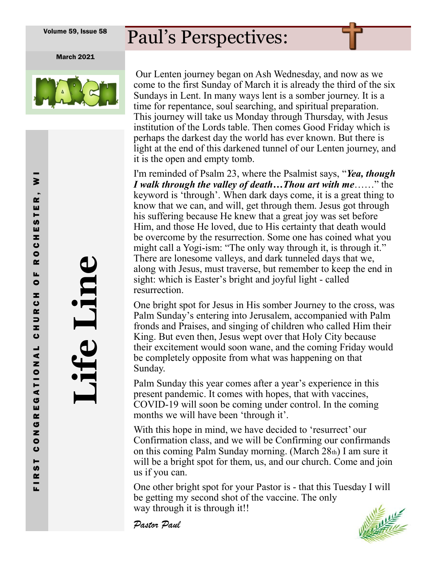## Paul's Perspectives:

March 2021



Our Lenten journey began on Ash Wednesday, and now as we come to the first Sunday of March it is already the third of the six Sundays in Lent. In many ways lent is a somber journey. It is a time for repentance, soul searching, and spiritual preparation. This journey will take us Monday through Thursday, with Jesus institution of the Lords table. Then comes Good Friday which is perhaps the darkest day the world has ever known. But there is light at the end of this darkened tunnel of our Lenten journey, and it is the open and empty tomb.

I'm reminded of Psalm 23, where the Psalmist says, "*Yea, though I walk through the valley of death…Thou art with me*……" the keyword is 'through'. When dark days come, it is a great thing to know that we can, and will, get through them. Jesus got through his suffering because He knew that a great joy was set before Him, and those He loved, due to His certainty that death would be overcome by the resurrection. Some one has coined what you might call a Yogi-ism: "The only way through it, is through it." There are lonesome valleys, and dark tunneled days that we, along with Jesus, must traverse, but remember to keep the end in sight: which is Easter's bright and joyful light - called resurrection.

One bright spot for Jesus in His somber Journey to the cross, was Palm Sunday's entering into Jerusalem, accompanied with Palm fronds and Praises, and singing of children who called Him their King. But even then, Jesus wept over that Holy City because their excitement would soon wane, and the coming Friday would be completely opposite from what was happening on that Sunday.

Palm Sunday this year comes after a year's experience in this present pandemic. It comes with hopes, that with vaccines, COVID-19 will soon be coming under control. In the coming months we will have been 'through it'.

With this hope in mind, we have decided to 'resurrect' our Confirmation class, and we will be Confirming our confirmands on this coming Palm Sunday morning. (March 28th) I am sure it will be a bright spot for them, us, and our church. Come and join us if you can.

One other bright spot for your Pastor is - that this Tuesday I will be getting my second shot of the vaccine. The only way through it is through it!!

*Pastor Paul* 



**Life Line**

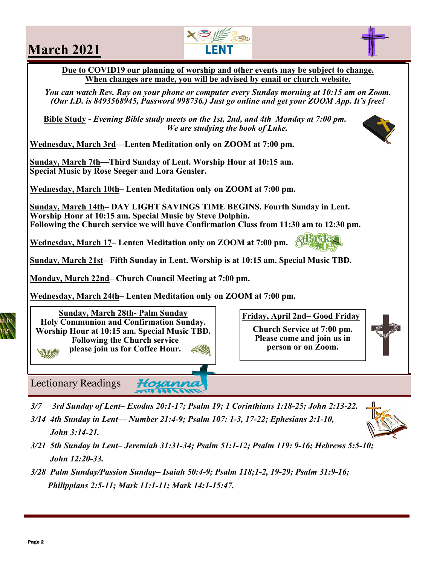## **March 2021**

**Due to COVID19 our planning of worship and other events may be subject to change. When changes are made, you will be advised by email or church website.**

*You can watch Rev. Ray on your phone or computer every Sunday morning at 10:15 am on Zoom. (Our I.D. is 8493568945, Password 998736.) Just go online and get your ZOOM App. It's free!*

**Bible Study -** *Evening Bible study meets on the 1st, 2nd, and 4th Monday at 7:00 pm. We are studying the book of Luke.* 

**Wednesday, March 3rd—Lenten Meditation only on ZOOM at 7:00 pm.**

**Sunday, March 7th—Third Sunday of Lent. Worship Hour at 10:15 am. Special Music by Rose Seeger and Lora Gensler.**

**Wednesday, March 10th– Lenten Meditation only on ZOOM at 7:00 pm.** 

**Sunday, March 14th– DAY LIGHT SAVINGS TIME BEGINS. Fourth Sunday in Lent. Worship Hour at 10:15 am. Special Music by Steve Dolphin. Following the Church service we will have Confirmation Class from 11:30 am to 12:30 pm.** 

**Wednesday, March 17– Lenten Meditation only on ZOOM at 7:00 pm.** 

**Sunday, March 21st– Fifth Sunday in Lent. Worship is at 10:15 am. Special Music TBD.**

**Monday, March 22nd– Church Council Meeting at 7:00 pm.**

**Wednesday, March 24th– Lenten Meditation only on ZOOM at 7:00 pm.**

Hosann

**Sunday, March 28th- Palm Sunday Holy Communion and Confirmation Sunday. Worship Hour at 10:15 am. Special Music TBD. Following the Church service please join us for Coffee Hour.** 

Lectionary Readings

- *3/7 3rd Sunday of Lent– Exodus 20:1-17; Psalm 19; 1 Corinthians 1:18-25; John 2:13-22.*
- *3/14 4th Sunday in Lent— Number 21:4-9; Psalm 107: 1-3, 17-22; Ephesians 2:1-10, John 3:14-21.*
- *3/21 5th Sunday in Lent– Jeremiah 31:31-34; Psalm 51:1-12; Psalm 119: 9-16; Hebrews 5:5-10; John 12:20-33.*
- *3/28 Palm Sunday/Passion Sunday– Isaiah 50:4-9; Psalm 118;1-2, 19-29; Psalm 31:9-16; Philippians 2:5-11; Mark 11:1-11; Mark 14:1-15:47.*

**Church Service at 7:00 pm. Please come and join us in person or on Zoom.**

**Friday, April 2nd– Good Friday**









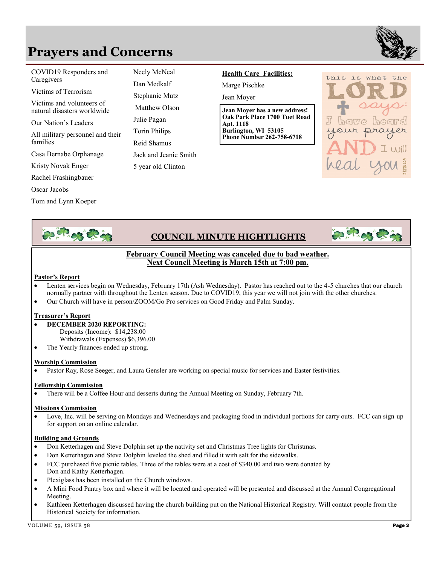### **Prayers and Concerns**



**COVID19 Responders and** Neely McNeal Caregivers D<sub>ry</sub> M<sub>r</sub>, H<sub>r</sub>, J<sup>6</sup> (11, 15<sup>6</sup> (11)

Victims of Terrorism **Jay While**

natural disasters worldwide Victims and volunteers of

Our Nation's Leaders

All military personnel and their families

Casa Bernabe Orphanage

Kristy Novak Enger 5 year

Rachel Frashingbauer

**All military personnel and their families Tom and Lynn Koeper** Oscar Jacobs

Tom and Lynn Koeper

Neely McNeal Dan Medkalf Stephanie Mutz Matthew Olson Julie Pagan Torin Philips Reid Shamus Jack and Jeanie Smith 5 year old Clinton

#### **Health Care Facilities:**

Marge Pischke

Jean Moyer

**Jean Moyer has a new address! Oak Park Place 1700 Tuet Road Apt. 1118 Burlington, WI 53105 Phone Number 262-758-6718**





#### **COUNCIL MINUTE HIGHTLIGHTS**



#### **February Council Meeting was canceled due to bad weather. Next Council Meeting is March 15th at 7:00 pm.**

#### **Pastor's Report**

- Lenten services begin on Wednesday, February 17th (Ash Wednesday). Pastor has reached out to the 4-5 churches that our church normally partner with throughout the Lenten season. Due to COVID19, this year we will not join with the other churches.
- Our Church will have in person/ZOOM/Go Pro services on Good Friday and Palm Sunday.

#### **Treasurer's Report**

- **DECEMBER 2020 REPORTING:** Deposits (Income): \$14,238.00 Withdrawals (Expenses) \$6,396.00
- The Yearly finances ended up strong.

#### **Worship Commission**

• Pastor Ray, Rose Seeger, and Laura Gensler are working on special music for services and Easter festivities.

#### **Fellowship Commission**

• There will be a Coffee Hour and desserts during the Annual Meeting on Sunday, February 7th.

#### **Missions Commission**

Love, Inc. will be serving on Mondays and Wednesdays and packaging food in individual portions for carry outs. FCC can sign up for support on an online calendar.

#### **Building and Grounds**

- Don Ketterhagen and Steve Dolphin set up the nativity set and Christmas Tree lights for Christmas.
- Don Ketterhagen and Steve Dolphin leveled the shed and filled it with salt for the sidewalks.
- FCC purchased five picnic tables. Three of the tables were at a cost of \$340.00 and two were donated by Don and Kathy Ketterhagen.
- Plexiglass has been installed on the Church windows.
- A Mini Food Pantry box and where it will be located and operated will be presented and discussed at the Annual Congregational Meeting.
- Kathleen Ketterhagen discussed having the church building put on the National Historical Registry. Will contact people from the Historical Society for information.